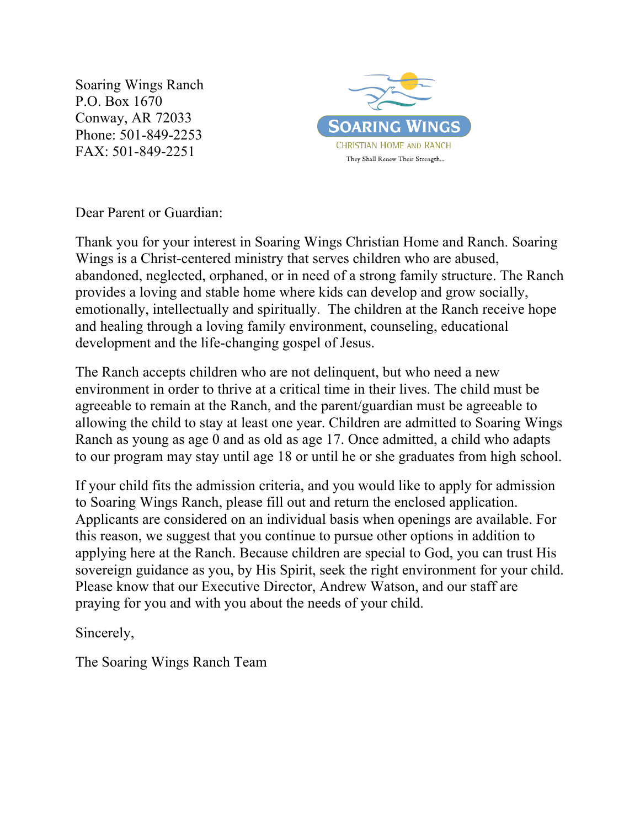Soaring Wings Ranch P.O. Box 1670 Conway, AR 72033 Phone: 501-849-2253 FAX: 501-849-2251



Dear Parent or Guardian:

Thank you for your interest in Soaring Wings Christian Home and Ranch. Soaring Wings is a Christ-centered ministry that serves children who are abused, abandoned, neglected, orphaned, or in need of a strong family structure. The Ranch provides a loving and stable home where kids can develop and grow socially, emotionally, intellectually and spiritually. The children at the Ranch receive hope and healing through a loving family environment, counseling, educational development and the life-changing gospel of Jesus.

The Ranch accepts children who are not delinquent, but who need a new environment in order to thrive at a critical time in their lives. The child must be agreeable to remain at the Ranch, and the parent/guardian must be agreeable to allowing the child to stay at least one year. Children are admitted to Soaring Wings Ranch as young as age 0 and as old as age 17. Once admitted, a child who adapts to our program may stay until age 18 or until he or she graduates from high school.

If your child fits the admission criteria, and you would like to apply for admission to Soaring Wings Ranch, please fill out and return the enclosed application. Applicants are considered on an individual basis when openings are available. For this reason, we suggest that you continue to pursue other options in addition to applying here at the Ranch. Because children are special to God, you can trust His sovereign guidance as you, by His Spirit, seek the right environment for your child. Please know that our Executive Director, Andrew Watson, and our staff are praying for you and with you about the needs of your child.

Sincerely,

The Soaring Wings Ranch Team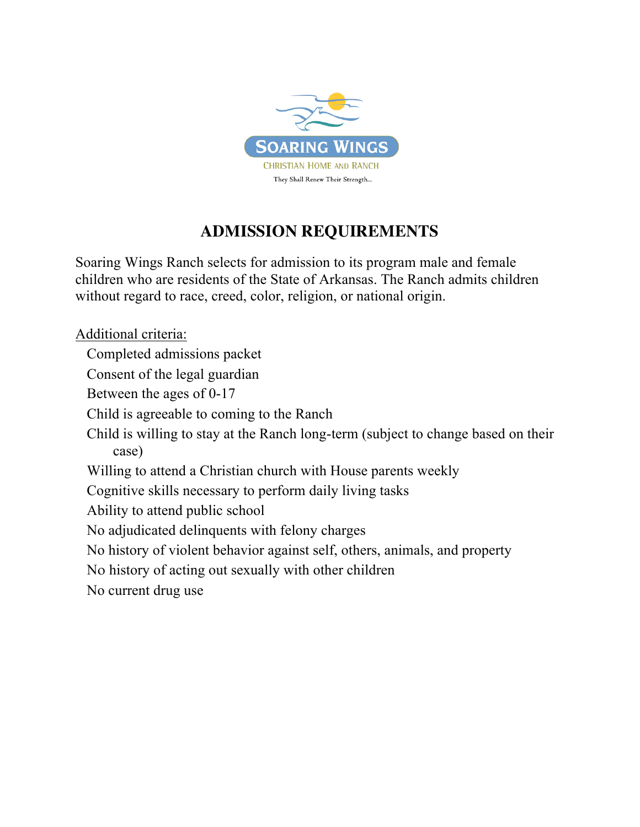

## **ADMISSION REQUIREMENTS**

Soaring Wings Ranch selects for admission to its program male and female children who are residents of the State of Arkansas. The Ranch admits children without regard to race, creed, color, religion, or national origin.

Additional criteria: Completed admissions packet Consent of the legal guardian Between the ages of 0-17 Child is agreeable to coming to the Ranch Child is willing to stay at the Ranch long-term (subject to change based on their case) Willing to attend a Christian church with House parents weekly Cognitive skills necessary to perform daily living tasks Ability to attend public school No adjudicated delinquents with felony charges No history of violent behavior against self, others, animals, and property No history of acting out sexually with other children No current drug use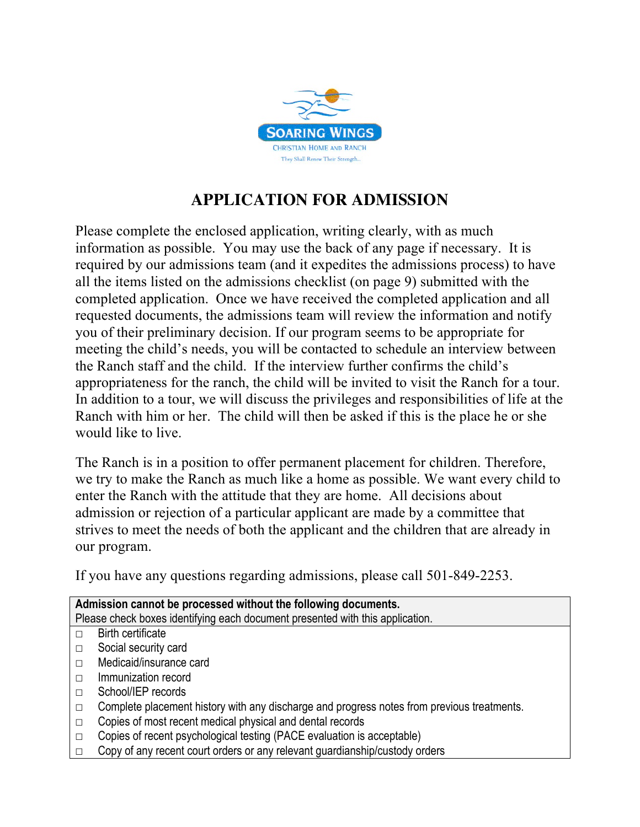

## **APPLICATION FOR ADMISSION**

Please complete the enclosed application, writing clearly, with as much information as possible. You may use the back of any page if necessary. It is required by our admissions team (and it expedites the admissions process) to have all the items listed on the admissions checklist (on page 9) submitted with the completed application. Once we have received the completed application and all requested documents, the admissions team will review the information and notify you of their preliminary decision. If our program seems to be appropriate for meeting the child's needs, you will be contacted to schedule an interview between the Ranch staff and the child. If the interview further confirms the child's appropriateness for the ranch, the child will be invited to visit the Ranch for a tour. In addition to a tour, we will discuss the privileges and responsibilities of life at the Ranch with him or her. The child will then be asked if this is the place he or she would like to live.

The Ranch is in a position to offer permanent placement for children. Therefore, we try to make the Ranch as much like a home as possible. We want every child to enter the Ranch with the attitude that they are home. All decisions about admission or rejection of a particular applicant are made by a committee that strives to meet the needs of both the applicant and the children that are already in our program.

If you have any questions regarding admissions, please call 501-849-2253.

|        | Admission cannot be processed without the following documents.<br>Please check boxes identifying each document presented with this application. |  |  |  |  |
|--------|-------------------------------------------------------------------------------------------------------------------------------------------------|--|--|--|--|
| П      | Birth certificate                                                                                                                               |  |  |  |  |
| П      | Social security card                                                                                                                            |  |  |  |  |
| $\Box$ | Medicaid/insurance card                                                                                                                         |  |  |  |  |
| $\Box$ | Immunization record                                                                                                                             |  |  |  |  |
|        | School/IEP records                                                                                                                              |  |  |  |  |
| П      |                                                                                                                                                 |  |  |  |  |
| $\Box$ | Complete placement history with any discharge and progress notes from previous treatments.                                                      |  |  |  |  |
| $\Box$ | Copies of most recent medical physical and dental records                                                                                       |  |  |  |  |
| П      | Copies of recent psychological testing (PACE evaluation is acceptable)                                                                          |  |  |  |  |
|        | Copy of any recent court orders or any relevant guardianship/custody orders                                                                     |  |  |  |  |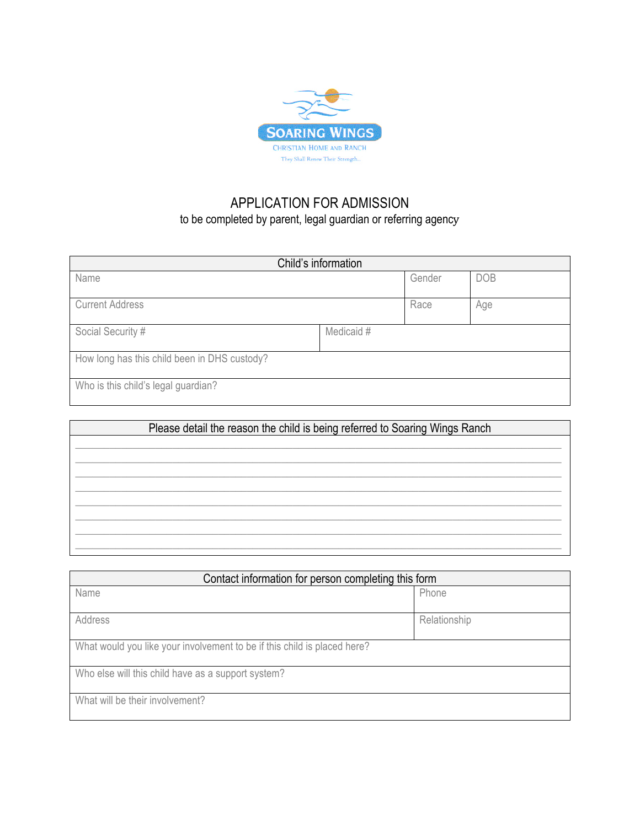

## APPLICATION FOR ADMISSION to be completed by parent, legal guardian or referring agency

| Child's information                          |            |        |            |  |
|----------------------------------------------|------------|--------|------------|--|
| Name                                         |            | Gender | <b>DOB</b> |  |
| <b>Current Address</b>                       |            | Race   | Age        |  |
| Social Security #                            | Medicaid # |        |            |  |
| How long has this child been in DHS custody? |            |        |            |  |
| Who is this child's legal guardian?          |            |        |            |  |

| Please detail the reason the child is being referred to Soaring Wings Ranch |  |  |
|-----------------------------------------------------------------------------|--|--|
|                                                                             |  |  |
|                                                                             |  |  |
|                                                                             |  |  |
|                                                                             |  |  |
|                                                                             |  |  |
|                                                                             |  |  |
|                                                                             |  |  |
|                                                                             |  |  |

| Contact information for person completing this form                      |              |  |
|--------------------------------------------------------------------------|--------------|--|
| Name                                                                     | Phone        |  |
| Address                                                                  | Relationship |  |
| What would you like your involvement to be if this child is placed here? |              |  |
| Who else will this child have as a support system?                       |              |  |
| What will be their involvement?                                          |              |  |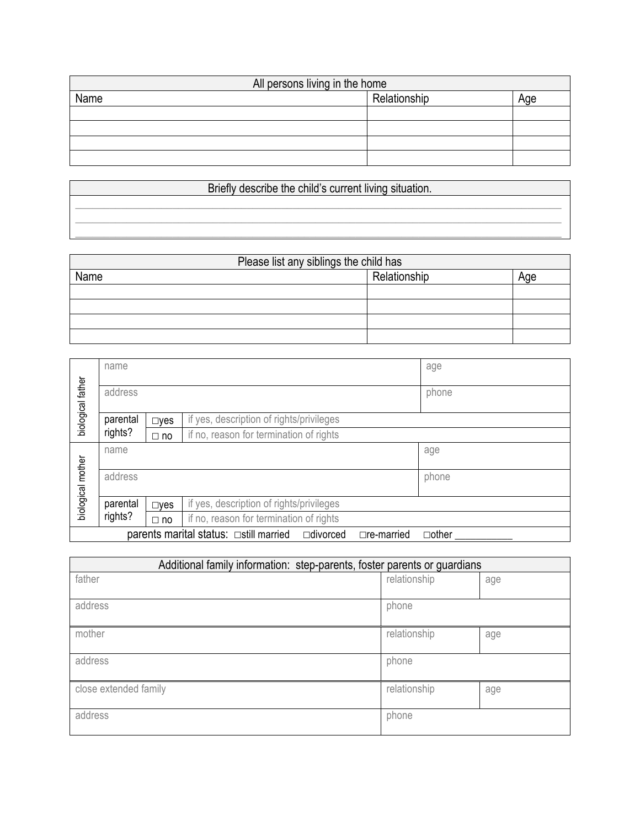| All persons living in the home |              |     |  |
|--------------------------------|--------------|-----|--|
| Name                           | Relationship | Age |  |
|                                |              |     |  |
|                                |              |     |  |
|                                |              |     |  |
|                                |              |     |  |

## Briefly describe the child's current living situation. \_\_\_\_\_\_\_\_\_\_\_\_\_\_\_\_\_\_\_\_\_\_\_\_\_\_\_\_\_\_\_\_\_\_\_\_\_\_\_\_\_\_\_\_\_\_\_\_\_\_\_\_\_\_\_\_\_\_\_\_\_\_\_\_\_\_\_\_\_\_\_\_\_\_\_\_\_\_\_\_\_\_\_\_\_ \_\_\_\_\_\_\_\_\_\_\_\_\_\_\_\_\_\_\_\_\_\_\_\_\_\_\_\_\_\_\_\_\_\_\_\_\_\_\_\_\_\_\_\_\_\_\_\_\_\_\_\_\_\_\_\_\_\_\_\_\_\_\_\_\_\_\_\_\_\_\_\_\_\_\_\_\_\_\_\_\_\_\_\_\_ \_\_\_\_\_\_\_\_\_\_\_\_\_\_\_\_\_\_\_\_\_\_\_\_\_\_\_\_\_\_\_\_\_\_\_\_\_\_\_\_\_\_\_\_\_\_\_\_\_\_\_\_\_\_\_\_\_\_\_\_\_\_\_\_\_\_\_\_\_\_\_\_\_\_\_\_\_\_\_\_\_\_\_\_\_

| Please list any siblings the child has |              |     |
|----------------------------------------|--------------|-----|
| Name                                   | Relationship | Aqe |
|                                        |              |     |
|                                        |              |     |
|                                        |              |     |
|                                        |              |     |

|                   | name                                                            |               |                                                                                         | age          |  |
|-------------------|-----------------------------------------------------------------|---------------|-----------------------------------------------------------------------------------------|--------------|--|
| biological father | address                                                         |               |                                                                                         | phone        |  |
|                   | parental                                                        | $\square$ ves | if yes, description of rights/privileges                                                |              |  |
|                   | rights?                                                         | $\Box$ no     | if no, reason for termination of rights                                                 |              |  |
|                   | name                                                            |               |                                                                                         | age          |  |
| biological mother | address                                                         |               |                                                                                         | phone        |  |
|                   | parental                                                        | $\square$ yes | if yes, description of rights/privileges                                                |              |  |
|                   | rights?<br>if no, reason for termination of rights<br>$\Box$ no |               |                                                                                         |              |  |
|                   |                                                                 |               | parents marital status: $\Box$ still married<br>$\Box$ divorced<br>$\square$ re-married | $\Box$ other |  |

| Additional family information: step-parents, foster parents or guardians |              |     |  |
|--------------------------------------------------------------------------|--------------|-----|--|
| father                                                                   | relationship | age |  |
| address                                                                  | phone        |     |  |
| mother                                                                   | relationship | age |  |
| address                                                                  | phone        |     |  |
| close extended family                                                    | relationship | age |  |
| address                                                                  | phone        |     |  |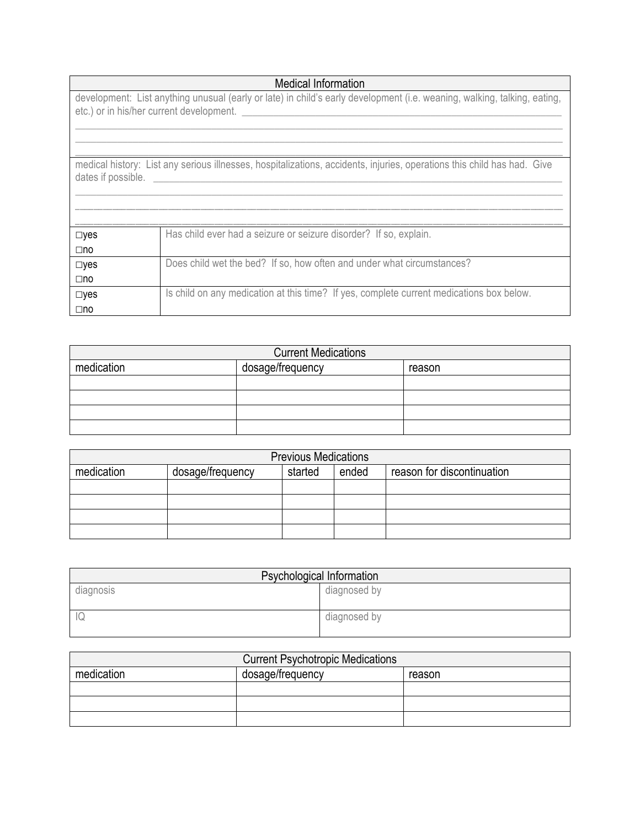|                               | <b>Medical Information</b>                                                                                                                                           |  |  |
|-------------------------------|----------------------------------------------------------------------------------------------------------------------------------------------------------------------|--|--|
|                               | development: List anything unusual (early or late) in child's early development (i.e. weaning, walking, talking, eating,<br>etc.) or in his/her current development. |  |  |
| dates if possible.            | medical history: List any serious illnesses, hospitalizations, accidents, injuries, operations this child has had. Give                                              |  |  |
| $\square$ yes<br>$\square$ no | Has child ever had a seizure or seizure disorder? If so, explain.                                                                                                    |  |  |
| $\square$ yes<br>$\square$ no | Does child wet the bed? If so, how often and under what circumstances?                                                                                               |  |  |
| $\square$ yes<br>$\square$ no | Is child on any medication at this time? If yes, complete current medications box below.                                                                             |  |  |

| <b>Current Medications</b>               |  |  |
|------------------------------------------|--|--|
| dosage/frequency<br>medication<br>reason |  |  |
|                                          |  |  |
|                                          |  |  |
|                                          |  |  |
|                                          |  |  |

| <b>Previous Medications</b> |                  |         |       |                            |
|-----------------------------|------------------|---------|-------|----------------------------|
| medication                  | dosage/frequency | started | ended | reason for discontinuation |
|                             |                  |         |       |                            |
|                             |                  |         |       |                            |
|                             |                  |         |       |                            |
|                             |                  |         |       |                            |

| Psychological Information |              |  |
|---------------------------|--------------|--|
| diagnosis                 | diagnosed by |  |
|                           |              |  |
| $ \mathbb{Q} $            | diagnosed by |  |
|                           |              |  |

| <b>Current Psychotropic Medications</b> |                  |        |  |  |
|-----------------------------------------|------------------|--------|--|--|
| medication                              | dosage/frequency | reason |  |  |
|                                         |                  |        |  |  |
|                                         |                  |        |  |  |
|                                         |                  |        |  |  |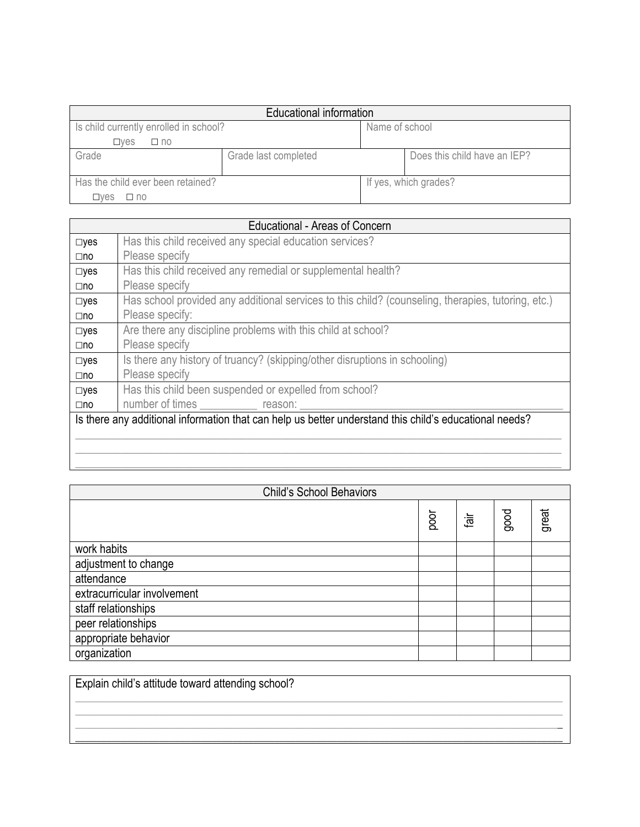| Educational information                |                      |                |                              |  |  |
|----------------------------------------|----------------------|----------------|------------------------------|--|--|
| Is child currently enrolled in school? |                      | Name of school |                              |  |  |
| $\square$ ves<br>$\Box$ no             |                      |                |                              |  |  |
| Grade                                  | Grade last completed |                | Does this child have an IEP? |  |  |
| Has the child ever been retained?      |                      |                | If yes, which grades?        |  |  |
| ⊟ves<br>$\square$ no                   |                      |                |                              |  |  |

|               | Educational - Areas of Concern                                                                         |
|---------------|--------------------------------------------------------------------------------------------------------|
| $\square$ yes | Has this child received any special education services?                                                |
| $\square$ no  | Please specify                                                                                         |
| $\square$ yes | Has this child received any remedial or supplemental health?                                           |
| $\square$ no  | Please specify                                                                                         |
| $\square$ yes | Has school provided any additional services to this child? (counseling, therapies, tutoring, etc.)     |
| $\square$ no  | Please specify:                                                                                        |
| $\square$ yes | Are there any discipline problems with this child at school?                                           |
| $\square$ no  | Please specify                                                                                         |
| $\square$ yes | Is there any history of truancy? (skipping/other disruptions in schooling)                             |
| $\square$ no  | Please specify                                                                                         |
| $\square$ yes | Has this child been suspended or expelled from school?                                                 |
| $\square$ no  | number of times _____________ reason: ___                                                              |
|               | Is there any additional information that can help us better understand this child's educational needs? |
|               |                                                                                                        |
|               |                                                                                                        |

| <b>Child's School Behaviors</b> |      |        |      |       |
|---------------------------------|------|--------|------|-------|
|                                 | poor | 词<br>四 | good | great |
| work habits                     |      |        |      |       |
| adjustment to change            |      |        |      |       |
| attendance                      |      |        |      |       |
| extracurricular involvement     |      |        |      |       |
| staff relationships             |      |        |      |       |
| peer relationships              |      |        |      |       |
| appropriate behavior            |      |        |      |       |
| organization                    |      |        |      |       |

\_\_\_\_\_\_\_\_\_\_\_\_\_\_\_\_\_\_\_\_\_\_\_\_\_\_\_\_\_\_\_\_\_\_\_\_\_\_\_\_\_\_\_\_\_\_\_\_\_\_\_\_\_\_\_\_\_\_\_\_\_\_\_\_\_\_\_\_\_\_\_\_\_\_\_\_\_\_\_\_\_\_\_\_\_

| Explain child's attitude toward attending school? |  |  |  |
|---------------------------------------------------|--|--|--|
|                                                   |  |  |  |
|                                                   |  |  |  |
|                                                   |  |  |  |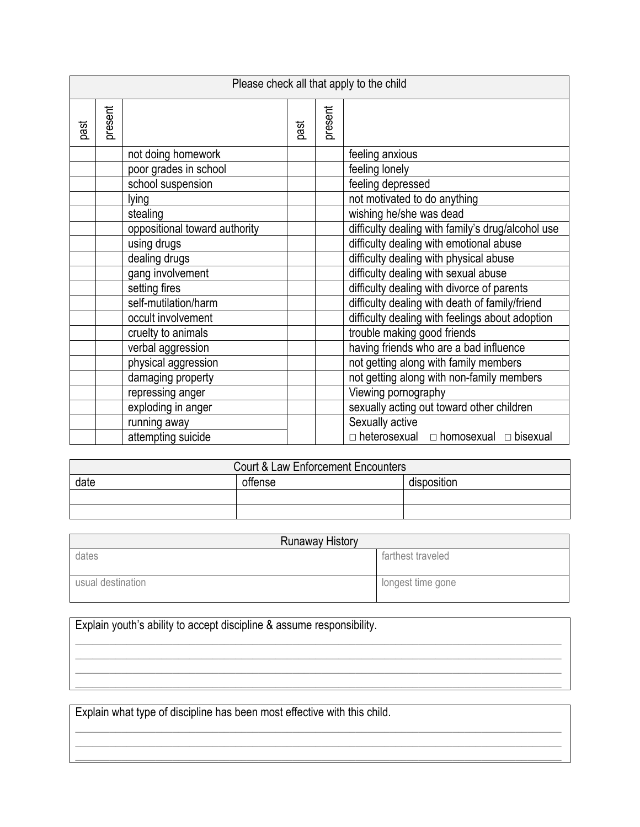|      |         |                               |      |         | Please check all that apply to the child              |  |
|------|---------|-------------------------------|------|---------|-------------------------------------------------------|--|
| past | present |                               | past | present |                                                       |  |
|      |         | not doing homework            |      |         | feeling anxious                                       |  |
|      |         | poor grades in school         |      |         | feeling lonely                                        |  |
|      |         | school suspension             |      |         | feeling depressed                                     |  |
|      |         | lying                         |      |         | not motivated to do anything                          |  |
|      |         | stealing                      |      |         | wishing he/she was dead                               |  |
|      |         | oppositional toward authority |      |         | difficulty dealing with family's drug/alcohol use     |  |
|      |         | using drugs                   |      |         | difficulty dealing with emotional abuse               |  |
|      |         | dealing drugs                 |      |         | difficulty dealing with physical abuse                |  |
|      |         | gang involvement              |      |         | difficulty dealing with sexual abuse                  |  |
|      |         | setting fires                 |      |         | difficulty dealing with divorce of parents            |  |
|      |         | self-mutilation/harm          |      |         | difficulty dealing with death of family/friend        |  |
|      |         | occult involvement            |      |         | difficulty dealing with feelings about adoption       |  |
|      |         | cruelty to animals            |      |         | trouble making good friends                           |  |
|      |         | verbal aggression             |      |         | having friends who are a bad influence                |  |
|      |         | physical aggression           |      |         | not getting along with family members                 |  |
|      |         | damaging property             |      |         | not getting along with non-family members             |  |
|      |         | repressing anger              |      |         | Viewing pornography                                   |  |
|      |         | exploding in anger            |      |         | sexually acting out toward other children             |  |
|      |         | running away                  |      |         | Sexually active                                       |  |
|      |         | attempting suicide            |      |         | $\Box$ heterosexual $\Box$ homosexual $\Box$ bisexual |  |

| Court & Law Enforcement Encounters |         |             |  |
|------------------------------------|---------|-------------|--|
| date                               | offense | disposition |  |
|                                    |         |             |  |
|                                    |         |             |  |

| <b>Runaway History</b> |                   |
|------------------------|-------------------|
| dates                  | farthest traveled |
| usual destination      | longest time gone |

\_\_\_\_\_\_\_\_\_\_\_\_\_\_\_\_\_\_\_\_\_\_\_\_\_\_\_\_\_\_\_\_\_\_\_\_\_\_\_\_\_\_\_\_\_\_\_\_\_\_\_\_\_\_\_\_\_\_\_\_\_\_\_\_\_\_\_\_\_\_\_\_\_\_\_\_\_\_\_\_\_\_\_\_\_ \_\_\_\_\_\_\_\_\_\_\_\_\_\_\_\_\_\_\_\_\_\_\_\_\_\_\_\_\_\_\_\_\_\_\_\_\_\_\_\_\_\_\_\_\_\_\_\_\_\_\_\_\_\_\_\_\_\_\_\_\_\_\_\_\_\_\_\_\_\_\_\_\_\_\_\_\_\_\_\_\_\_\_\_\_ \_\_\_\_\_\_\_\_\_\_\_\_\_\_\_\_\_\_\_\_\_\_\_\_\_\_\_\_\_\_\_\_\_\_\_\_\_\_\_\_\_\_\_\_\_\_\_\_\_\_\_\_\_\_\_\_\_\_\_\_\_\_\_\_\_\_\_\_\_\_\_\_\_\_\_\_\_\_\_\_\_\_\_\_\_ \_\_\_\_\_\_\_\_\_\_\_\_\_\_\_\_\_\_\_\_\_\_\_\_\_\_\_\_\_\_\_\_\_\_\_\_\_\_\_\_\_\_\_\_\_\_\_\_\_\_\_\_\_\_\_\_\_\_\_\_\_\_\_\_\_\_\_\_\_\_\_\_\_\_\_\_\_\_\_\_\_\_\_\_\_

Explain youth's ability to accept discipline & assume responsibility.

Explain what type of discipline has been most effective with this child.

\_\_\_\_\_\_\_\_\_\_\_\_\_\_\_\_\_\_\_\_\_\_\_\_\_\_\_\_\_\_\_\_\_\_\_\_\_\_\_\_\_\_\_\_\_\_\_\_\_\_\_\_\_\_\_\_\_\_\_\_\_\_\_\_\_\_\_\_\_\_\_\_\_\_\_\_\_\_\_\_\_\_\_\_\_ \_\_\_\_\_\_\_\_\_\_\_\_\_\_\_\_\_\_\_\_\_\_\_\_\_\_\_\_\_\_\_\_\_\_\_\_\_\_\_\_\_\_\_\_\_\_\_\_\_\_\_\_\_\_\_\_\_\_\_\_\_\_\_\_\_\_\_\_\_\_\_\_\_\_\_\_\_\_\_\_\_\_\_\_\_ \_\_\_\_\_\_\_\_\_\_\_\_\_\_\_\_\_\_\_\_\_\_\_\_\_\_\_\_\_\_\_\_\_\_\_\_\_\_\_\_\_\_\_\_\_\_\_\_\_\_\_\_\_\_\_\_\_\_\_\_\_\_\_\_\_\_\_\_\_\_\_\_\_\_\_\_\_\_\_\_\_\_\_\_\_